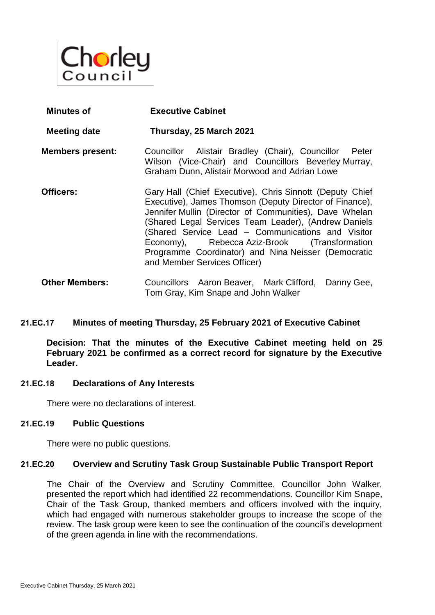

| Minutes of              | <b>Executive Cabinet</b>                                                                                                                                                                                                                                                                                                                                                                                                          |
|-------------------------|-----------------------------------------------------------------------------------------------------------------------------------------------------------------------------------------------------------------------------------------------------------------------------------------------------------------------------------------------------------------------------------------------------------------------------------|
| <b>Meeting date</b>     | Thursday, 25 March 2021                                                                                                                                                                                                                                                                                                                                                                                                           |
| <b>Members present:</b> | Councillor Alistair Bradley (Chair), Councillor<br>Peter<br>Wilson (Vice-Chair) and Councillors Beverley Murray,<br>Graham Dunn, Alistair Morwood and Adrian Lowe                                                                                                                                                                                                                                                                 |
| Officers:               | Gary Hall (Chief Executive), Chris Sinnott (Deputy Chief<br>Executive), James Thomson (Deputy Director of Finance),<br>Jennifer Mullin (Director of Communities), Dave Whelan<br>(Shared Legal Services Team Leader), (Andrew Daniels<br>(Shared Service Lead - Communications and Visitor<br>Economy), Rebecca Aziz-Brook (Transformation<br>Programme Coordinator) and Nina Neisser (Democratic<br>and Member Services Officer) |
| <b>Other Members:</b>   | Councillors Aaron Beaver, Mark Clifford,<br>Danny Gee,                                                                                                                                                                                                                                                                                                                                                                            |

### **21.EC.17 Minutes of meeting Thursday, 25 February 2021 of Executive Cabinet**

**Decision: That the minutes of the Executive Cabinet meeting held on 25 February 2021 be confirmed as a correct record for signature by the Executive Leader.**

Tom Gray, Kim Snape and John Walker

#### **21.EC.18 Declarations of Any Interests**

There were no declarations of interest.

### **21.EC.19 Public Questions**

There were no public questions.

### **21.EC.20 Overview and Scrutiny Task Group Sustainable Public Transport Report**

The Chair of the Overview and Scrutiny Committee, Councillor John Walker, presented the report which had identified 22 recommendations. Councillor Kim Snape, Chair of the Task Group, thanked members and officers involved with the inquiry, which had engaged with numerous stakeholder groups to increase the scope of the review. The task group were keen to see the continuation of the council's development of the green agenda in line with the recommendations.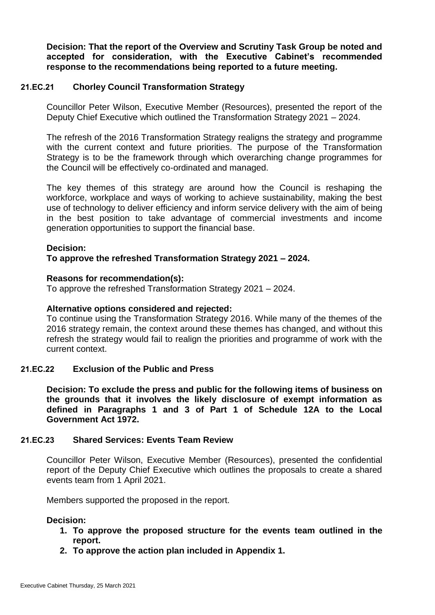**Decision: That the report of the Overview and Scrutiny Task Group be noted and accepted for consideration, with the Executive Cabinet's recommended response to the recommendations being reported to a future meeting.**

### **21.EC.21 Chorley Council Transformation Strategy**

Councillor Peter Wilson, Executive Member (Resources), presented the report of the Deputy Chief Executive which outlined the Transformation Strategy 2021 – 2024.

The refresh of the 2016 Transformation Strategy realigns the strategy and programme with the current context and future priorities. The purpose of the Transformation Strategy is to be the framework through which overarching change programmes for the Council will be effectively co-ordinated and managed.

The key themes of this strategy are around how the Council is reshaping the workforce, workplace and ways of working to achieve sustainability, making the best use of technology to deliver efficiency and inform service delivery with the aim of being in the best position to take advantage of commercial investments and income generation opportunities to support the financial base.

### **Decision:**

### **To approve the refreshed Transformation Strategy 2021 – 2024.**

### **Reasons for recommendation(s):**

To approve the refreshed Transformation Strategy 2021 – 2024.

### **Alternative options considered and rejected:**

To continue using the Transformation Strategy 2016. While many of the themes of the 2016 strategy remain, the context around these themes has changed, and without this refresh the strategy would fail to realign the priorities and programme of work with the current context.

## **21.EC.22 Exclusion of the Public and Press**

**Decision: To exclude the press and public for the following items of business on the grounds that it involves the likely disclosure of exempt information as defined in Paragraphs 1 and 3 of Part 1 of Schedule 12A to the Local Government Act 1972.**

# **21.EC.23 Shared Services: Events Team Review**

Councillor Peter Wilson, Executive Member (Resources), presented the confidential report of the Deputy Chief Executive which outlines the proposals to create a shared events team from 1 April 2021.

Members supported the proposed in the report.

# **Decision:**

- **1. To approve the proposed structure for the events team outlined in the report.**
- **2. To approve the action plan included in Appendix 1.**